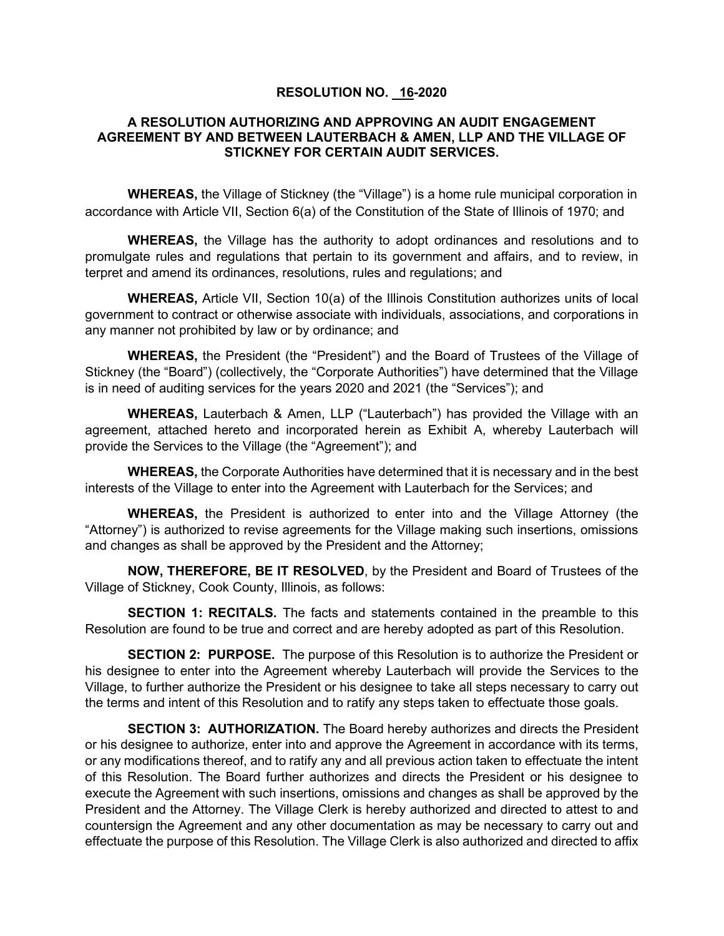## **RESOLUTION NO. 16-2020**

## **A RESOLUTION AUTHORIZING AND APPROVING AN AUDIT ENGAGEMENT AGREEMENT BY AND BETWEEN LAUTERBACH & AMEN, LLP AND THE VILLAGE OF STICKNEY FOR CERTAIN AUDIT SERVICES.**

**WHEREAS,** the Village of Stickney (the "Village") is a home rule municipal corporation in accordance with Article VII, Section 6(a) of the Constitution of the State of Illinois of 1970; and

**WHEREAS,** the Village has the authority to adopt ordinances and resolutions and to promulgate rules and regulations that pertain to its government and affairs, and to review, in terpret and amend its ordinances, resolutions, rules and regulations; and

**WHEREAS,** Article VII, Section 10(a) of the Illinois Constitution authorizes units of local government to contract or otherwise associate with individuals, associations, and corporations in any manner not prohibited by law or by ordinance; and

**WHEREAS,** the President (the "President") and the Board of Trustees of the Village of Stickney (the "Board") (collectively, the "Corporate Authorities") have determined that the Village is in need of auditing services for the years 2020 and 2021 (the "Services"); and

**WHEREAS,** Lauterbach & Amen, LLP ("Lauterbach") has provided the Village with an agreement, attached hereto and incorporated herein as Exhibit A, whereby Lauterbach will provide the Services to the Village (the "Agreement"); and

**WHEREAS,** the Corporate Authorities have determined that it is necessary and in the best interests of the Village to enter into the Agreement with Lauterbach for the Services; and

**WHEREAS,** the President is authorized to enter into and the Village Attorney (the "Attorney") is authorized to revise agreements for the Village making such insertions, omissions and changes as shall be approved by the President and the Attorney;

**NOW, THEREFORE, BE IT RESOLVED**, by the President and Board of Trustees of the Village of Stickney, Cook County, Illinois, as follows:

**SECTION 1: RECITALS.** The facts and statements contained in the preamble to this Resolution are found to be true and correct and are hereby adopted as part of this Resolution.

**SECTION 2: PURPOSE.** The purpose of this Resolution is to authorize the President or his designee to enter into the Agreement whereby Lauterbach will provide the Services to the Village, to further authorize the President or his designee to take all steps necessary to carry out the terms and intent of this Resolution and to ratify any steps taken to effectuate those goals.

**SECTION 3: AUTHORIZATION.** The Board hereby authorizes and directs the President or his designee to authorize, enter into and approve the Agreement in accordance with its terms, or any modifications thereof, and to ratify any and all previous action taken to effectuate the intent of this Resolution. The Board further authorizes and directs the President or his designee to execute the Agreement with such insertions, omissions and changes as shall be approved by the President and the Attorney. The Village Clerk is hereby authorized and directed to attest to and countersign the Agreement and any other documentation as may be necessary to carry out and effectuate the purpose of this Resolution. The Village Clerk is also authorized and directed to affix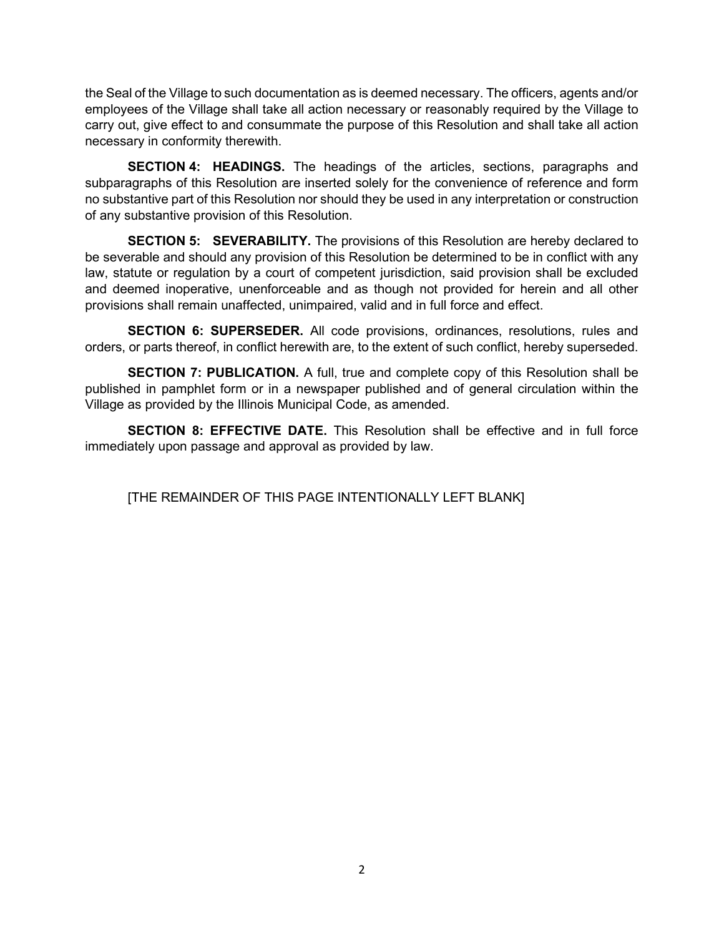the Seal of the Village to such documentation as is deemed necessary. The officers, agents and/or employees of the Village shall take all action necessary or reasonably required by the Village to carry out, give effect to and consummate the purpose of this Resolution and shall take all action necessary in conformity therewith.

**SECTION 4: HEADINGS.** The headings of the articles, sections, paragraphs and subparagraphs of this Resolution are inserted solely for the convenience of reference and form no substantive part of this Resolution nor should they be used in any interpretation or construction of any substantive provision of this Resolution.

**SECTION 5: SEVERABILITY.** The provisions of this Resolution are hereby declared to be severable and should any provision of this Resolution be determined to be in conflict with any law, statute or regulation by a court of competent jurisdiction, said provision shall be excluded and deemed inoperative, unenforceable and as though not provided for herein and all other provisions shall remain unaffected, unimpaired, valid and in full force and effect.

**SECTION 6: SUPERSEDER.** All code provisions, ordinances, resolutions, rules and orders, or parts thereof, in conflict herewith are, to the extent of such conflict, hereby superseded.

**SECTION 7: PUBLICATION.** A full, true and complete copy of this Resolution shall be published in pamphlet form or in a newspaper published and of general circulation within the Village as provided by the Illinois Municipal Code, as amended.

**SECTION 8: EFFECTIVE DATE.** This Resolution shall be effective and in full force immediately upon passage and approval as provided by law.

[THE REMAINDER OF THIS PAGE INTENTIONALLY LEFT BLANK]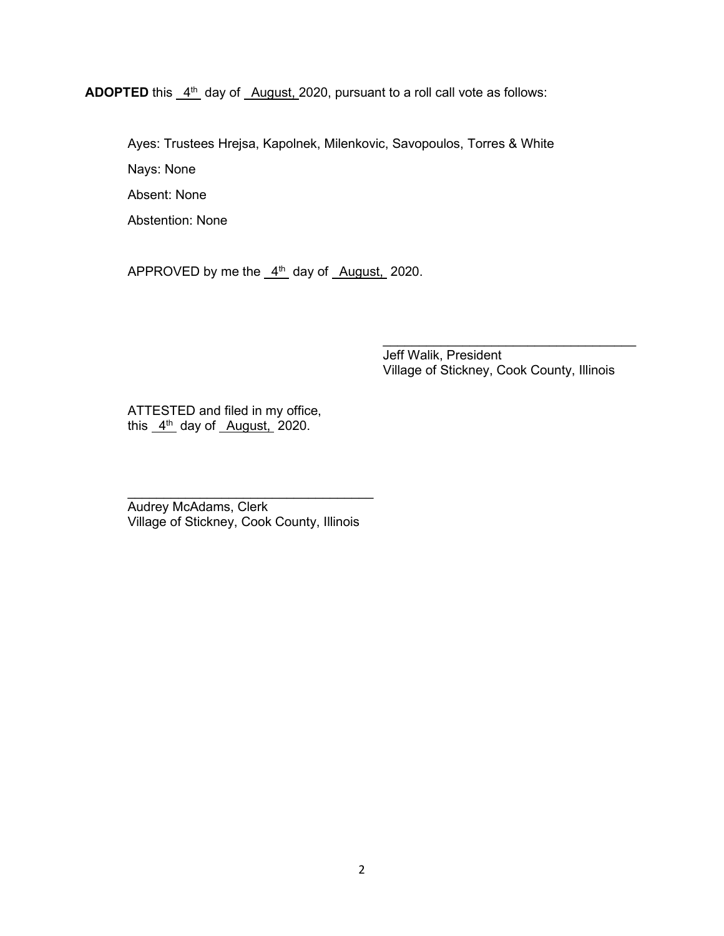**ADOPTED** this  $4^{\text{th}}$  day of August, 2020, pursuant to a roll call vote as follows:

Ayes: Trustees Hrejsa, Kapolnek, Milenkovic, Savopoulos, Torres & White Nays: None Absent: None

Abstention: None

APPROVED by me the  $4<sup>th</sup>$  day of August, 2020.

Jeff Walik, President Village of Stickney, Cook County, Illinois

 $\mathcal{L}_\text{max}$  , which is a set of the set of the set of the set of the set of the set of the set of the set of the set of the set of the set of the set of the set of the set of the set of the set of the set of the set of

ATTESTED and filed in my office, this  $4<sup>th</sup>$  day of August, 2020.

Audrey McAdams, Clerk Village of Stickney, Cook County, Illinois

 $\overline{\phantom{a}}$  , where  $\overline{\phantom{a}}$  , where  $\overline{\phantom{a}}$  , where  $\overline{\phantom{a}}$  , where  $\overline{\phantom{a}}$